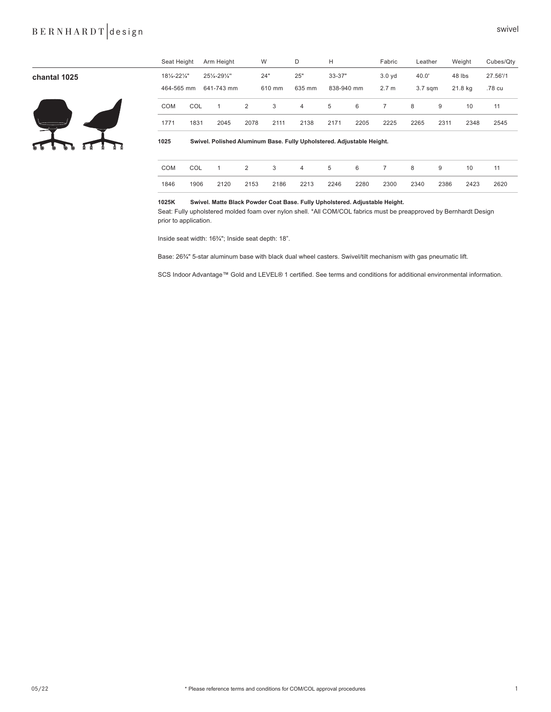# B E R N H A R D T design swivel

|                 | Seat Height  |      | Arm Height                                                            | W              |        | D      | Н          |      | Fabric           | Leather            |      | Weight  | Cubes/Qty |  |
|-----------------|--------------|------|-----------------------------------------------------------------------|----------------|--------|--------|------------|------|------------------|--------------------|------|---------|-----------|--|
| chantal 1025    | 181/4-221/4" |      | 251/4-291/4"                                                          |                | 24"    | 25"    | 33-37"     |      | 3.0 yd           | 40.0'              |      | 48 lbs  | 27.56'/1  |  |
|                 | 464-565 mm   |      | 641-743 mm                                                            |                | 610 mm | 635 mm | 838-940 mm |      | 2.7 <sub>m</sub> | 3.7 <sub>sgm</sub> |      | 21.8 kg | .78 cu    |  |
|                 | COM          | COL  | $\overline{1}$                                                        | $\overline{2}$ | 3      | 4      | 5          | 6    | $\overline{7}$   | 8                  | 9    | 10      | 11        |  |
|                 | 1771         | 1831 | 2045                                                                  | 2078           | 2111   | 2138   | 2171       | 2205 | 2225             | 2265               | 2311 | 2348    | 2545      |  |
| 77 T<br>ъ.<br>O | 1025         |      | Swivel. Polished Aluminum Base. Fully Upholstered. Adjustable Height. |                |        |        |            |      |                  |                    |      |         |           |  |
|                 | COM          | COL  | $\overline{1}$                                                        | $\overline{2}$ | 3      | 4      | 5          | 6    | $\overline{7}$   | 8                  | 9    | 10      | 11        |  |
|                 |              |      |                                                                       |                |        |        |            |      |                  |                    |      |         |           |  |

## **1025K Swivel. Matte Black Powder Coat Base. Fully Upholstered. Adjustable Height.**

Seat: Fully upholstered molded foam over nylon shell. \*All COM/COL fabrics must be preapproved by Bernhardt Design prior to application.

1846 1906 2120 2153 2186 2213 2246 2280 2300 2340 2386 2423 2620

Inside seat width: 16¾"; Inside seat depth: 18".

Base: 26¾" 5-star aluminum base with black dual wheel casters. Swivel/tilt mechanism with gas pneumatic lift.

SCS Indoor Advantage™ Gold and LEVEL® 1 certified. See terms and conditions for additional environmental information.